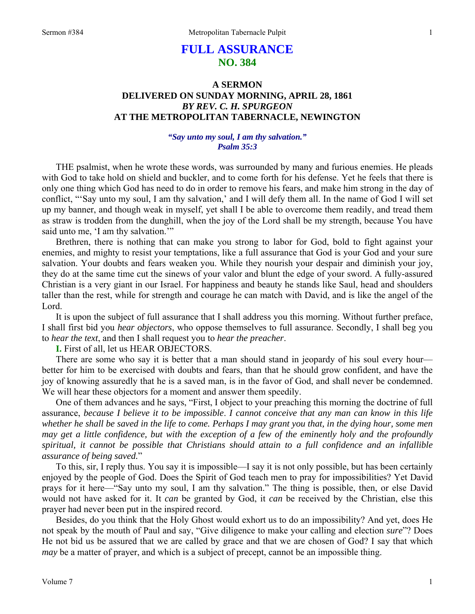# **FULL ASSURANCE NO. 384**

## **A SERMON DELIVERED ON SUNDAY MORNING, APRIL 28, 1861**  *BY REV. C. H. SPURGEON*  **AT THE METROPOLITAN TABERNACLE, NEWINGTON**

## *"Say unto my soul, I am thy salvation." Psalm 35:3*

THE psalmist, when he wrote these words, was surrounded by many and furious enemies. He pleads with God to take hold on shield and buckler, and to come forth for his defense. Yet he feels that there is only one thing which God has need to do in order to remove his fears, and make him strong in the day of conflict, "'Say unto my soul, I am thy salvation,' and I will defy them all. In the name of God I will set up my banner, and though weak in myself, yet shall I be able to overcome them readily, and tread them as straw is trodden from the dunghill, when the joy of the Lord shall be my strength, because You have said unto me. 'I am thy salvation.'"

Brethren, there is nothing that can make you strong to labor for God, bold to fight against your enemies, and mighty to resist your temptations, like a full assurance that God is your God and your sure salvation. Your doubts and fears weaken you. While they nourish your despair and diminish your joy, they do at the same time cut the sinews of your valor and blunt the edge of your sword. A fully-assured Christian is a very giant in our Israel. For happiness and beauty he stands like Saul, head and shoulders taller than the rest, while for strength and courage he can match with David, and is like the angel of the Lord.

It is upon the subject of full assurance that I shall address you this morning. Without further preface, I shall first bid you *hear objectors*, who oppose themselves to full assurance. Secondly, I shall beg you to *hear the text*, and then I shall request you to *hear the preacher*.

**I.** First of all, let us HEAR OBJECTORS.

There are some who say it is better that a man should stand in jeopardy of his soul every hour better for him to be exercised with doubts and fears, than that he should grow confident, and have the joy of knowing assuredly that he is a saved man, is in the favor of God, and shall never be condemned. We will hear these objectors for a moment and answer them speedily.

One of them advances and he says, "First, I object to your preaching this morning the doctrine of full assurance, *because I believe it to be impossible*. *I cannot conceive that any man can know in this life whether he shall be saved in the life to come. Perhaps I may grant you that, in the dying hour, some men may get a little confidence, but with the exception of a few of the eminently holy and the profoundly spiritual, it cannot be possible that Christians should attain to a full confidence and an infallible assurance of being saved.*"

To this, sir, I reply thus. You say it is impossible—I say it is not only possible, but has been certainly enjoyed by the people of God. Does the Spirit of God teach men to pray for impossibilities? Yet David prays for it here—"Say unto my soul, I am thy salvation." The thing is possible, then, or else David would not have asked for it. It *can* be granted by God, it *can* be received by the Christian, else this prayer had never been put in the inspired record.

Besides, do you think that the Holy Ghost would exhort us to do an impossibility? And yet, does He not speak by the mouth of Paul and say, "Give diligence to make your calling and election *sure*"? Does He not bid us be assured that we are called by grace and that we are chosen of God? I say that which *may* be a matter of prayer, and which is a subject of precept, cannot be an impossible thing.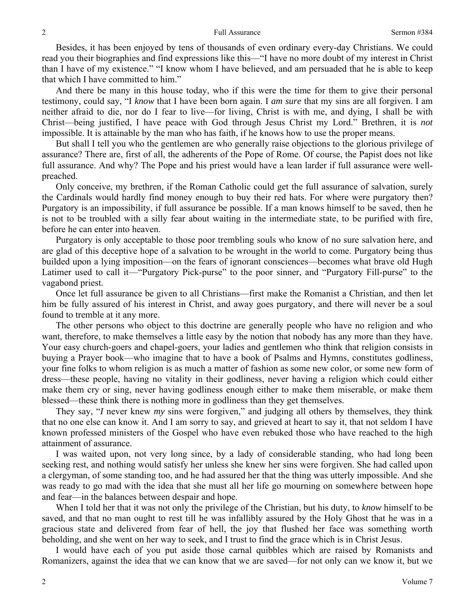Besides, it has been enjoyed by tens of thousands of even ordinary every-day Christians. We could read you their biographies and find expressions like this—"I have no more doubt of my interest in Christ than I have of my existence." "I know whom I have believed, and am persuaded that he is able to keep that which I have committed to him."

And there be many in this house today, who if this were the time for them to give their personal testimony, could say, "I *know* that I have been born again. I *am sure* that my sins are all forgiven. I am neither afraid to die, nor do I fear to live—for living, Christ is with me, and dying, I shall be with Christ—being justified, I have peace with God through Jesus Christ my Lord." Brethren, it is *not* impossible. It is attainable by the man who has faith, if he knows how to use the proper means.

But shall I tell you who the gentlemen are who generally raise objections to the glorious privilege of assurance? There are, first of all, the adherents of the Pope of Rome. Of course, the Papist does not like full assurance. And why? The Pope and his priest would have a lean larder if full assurance were wellpreached.

Only conceive, my brethren, if the Roman Catholic could get the full assurance of salvation, surely the Cardinals would hardly find money enough to buy their red hats. For where were purgatory then? Purgatory is an impossibility, if full assurance be possible. If a man knows himself to be saved, then he is not to be troubled with a silly fear about waiting in the intermediate state, to be purified with fire, before he can enter into heaven.

Purgatory is only acceptable to those poor trembling souls who know of no sure salvation here, and are glad of this deceptive hope of a salvation to be wrought in the world to come. Purgatory being thus builded upon a lying imposition—on the fears of ignorant consciences—becomes what brave old Hugh Latimer used to call it—"Purgatory Pick-purse" to the poor sinner, and "Purgatory Fill-purse" to the vagabond priest.

Once let full assurance be given to all Christians—first make the Romanist a Christian, and then let him be fully assured of his interest in Christ, and away goes purgatory, and there will never be a soul found to tremble at it any more.

The other persons who object to this doctrine are generally people who have no religion and who want, therefore, to make themselves a little easy by the notion that nobody has any more than they have. Your easy church-goers and chapel-goers, your ladies and gentlemen who think that religion consists in buying a Prayer book—who imagine that to have a book of Psalms and Hymns, constitutes godliness, your fine folks to whom religion is as much a matter of fashion as some new color, or some new form of dress—these people, having no vitality in their godliness, never having a religion which could either make them cry or sing, never having godliness enough either to make them miserable, or make them blessed—these think there is nothing more in godliness than they get themselves.

They say, "*I* never knew *my* sins were forgiven," and judging all others by themselves, they think that no one else can know it. And I am sorry to say, and grieved at heart to say it, that not seldom I have known professed ministers of the Gospel who have even rebuked those who have reached to the high attainment of assurance.

I was waited upon, not very long since, by a lady of considerable standing, who had long been seeking rest, and nothing would satisfy her unless she knew her sins were forgiven. She had called upon a clergyman, of some standing too, and he had assured her that the thing was utterly impossible. And she was ready to go mad with the idea that she must all her life go mourning on somewhere between hope and fear—in the balances between despair and hope.

When I told her that it was not only the privilege of the Christian, but his duty, to *know* himself to be saved, and that no man ought to rest till he was infallibly assured by the Holy Ghost that he was in a gracious state and delivered from fear of hell, the joy that flushed her face was something worth beholding, and she went on her way to seek, and I trust to find the grace which is in Christ Jesus.

I would have each of you put aside those carnal quibbles which are raised by Romanists and Romanizers, against the idea that we can know that we are saved—for not only can we know it, but we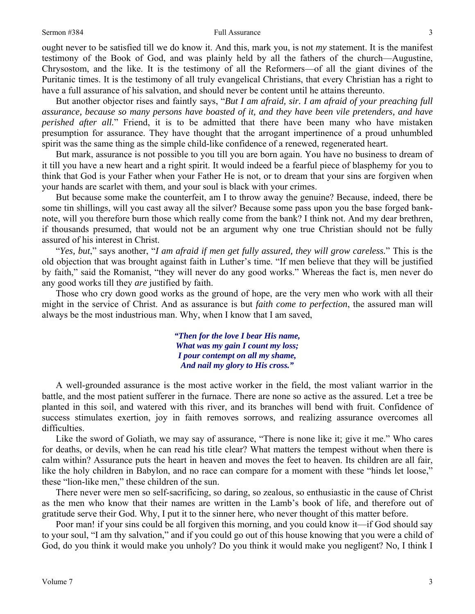### Sermon #384 Full Assurance

ought never to be satisfied till we do know it. And this, mark you, is not *my* statement. It is the manifest testimony of the Book of God, and was plainly held by all the fathers of the church—Augustine, Chrysostom, and the like. It is the testimony of all the Reformers—of all the giant divines of the Puritanic times. It is the testimony of all truly evangelical Christians, that every Christian has a right to have a full assurance of his salvation, and should never be content until he attains thereunto.

But another objector rises and faintly says, "*But I am afraid, sir. I am afraid of your preaching full assurance, because so many persons have boasted of it, and they have been vile pretenders, and have perished after all.*" Friend, it is to be admitted that there have been many who have mistaken presumption for assurance. They have thought that the arrogant impertinence of a proud unhumbled spirit was the same thing as the simple child-like confidence of a renewed, regenerated heart.

But mark, assurance is not possible to you till you are born again. You have no business to dream of it till you have a new heart and a right spirit. It would indeed be a fearful piece of blasphemy for you to think that God is your Father when your Father He is not, or to dream that your sins are forgiven when your hands are scarlet with them, and your soul is black with your crimes.

But because some make the counterfeit, am I to throw away the genuine? Because, indeed, there be some tin shillings, will you cast away all the silver? Because some pass upon you the base forged banknote, will you therefore burn those which really come from the bank? I think not. And my dear brethren, if thousands presumed, that would not be an argument why one true Christian should not be fully assured of his interest in Christ.

"*Yes, but*," says another, "*I am afraid if men get fully assured, they will grow careless.*" This is the old objection that was brought against faith in Luther's time. "If men believe that they will be justified by faith," said the Romanist, "they will never do any good works." Whereas the fact is, men never do any good works till they *are* justified by faith.

Those who cry down good works as the ground of hope, are the very men who work with all their might in the service of Christ. And as assurance is but *faith come to perfection*, the assured man will always be the most industrious man. Why, when I know that I am saved,

> *"Then for the love I bear His name, What was my gain I count my loss; I pour contempt on all my shame, And nail my glory to His cross."*

A well-grounded assurance is the most active worker in the field, the most valiant warrior in the battle, and the most patient sufferer in the furnace. There are none so active as the assured. Let a tree be planted in this soil, and watered with this river, and its branches will bend with fruit. Confidence of success stimulates exertion, joy in faith removes sorrows, and realizing assurance overcomes all difficulties.

Like the sword of Goliath, we may say of assurance, "There is none like it; give it me." Who cares for deaths, or devils, when he can read his title clear? What matters the tempest without when there is calm within? Assurance puts the heart in heaven and moves the feet to heaven. Its children are all fair, like the holy children in Babylon, and no race can compare for a moment with these "hinds let loose," these "lion-like men," these children of the sun.

There never were men so self-sacrificing, so daring, so zealous, so enthusiastic in the cause of Christ as the men who know that their names are written in the Lamb's book of life, and therefore out of gratitude serve their God. Why, I put it to the sinner here, who never thought of this matter before.

Poor man! if your sins could be all forgiven this morning, and you could know it—if God should say to your soul, "I am thy salvation," and if you could go out of this house knowing that you were a child of God, do you think it would make you unholy? Do you think it would make you negligent? No, I think I

3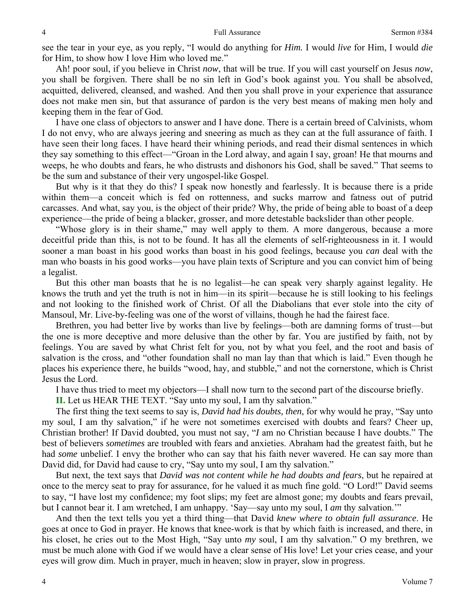see the tear in your eye, as you reply, "I would do anything for *Him.* I would *live* for Him, I would *die*  for Him, to show how I love Him who loved me."

Ah! poor soul, if you believe in Christ *now*, that will be true. If you will cast yourself on Jesus *now*, you shall be forgiven. There shall be no sin left in God's book against you. You shall be absolved, acquitted, delivered, cleansed, and washed. And then you shall prove in your experience that assurance does not make men sin, but that assurance of pardon is the very best means of making men holy and keeping them in the fear of God.

I have one class of objectors to answer and I have done. There is a certain breed of Calvinists, whom I do not envy, who are always jeering and sneering as much as they can at the full assurance of faith. I have seen their long faces. I have heard their whining periods, and read their dismal sentences in which they say something to this effect—"Groan in the Lord alway, and again I say, groan! He that mourns and weeps, he who doubts and fears, he who distrusts and dishonors his God, shall be saved." That seems to be the sum and substance of their very ungospel-like Gospel.

But why is it that they do this? I speak now honestly and fearlessly. It is because there is a pride within them—a conceit which is fed on rottenness, and sucks marrow and fatness out of putrid carcasses. And what, say you, is the object of their pride? Why, the pride of being able to boast of a deep experience—the pride of being a blacker, grosser, and more detestable backslider than other people.

"Whose glory is in their shame," may well apply to them. A more dangerous, because a more deceitful pride than this, is not to be found. It has all the elements of self-righteousness in it. I would sooner a man boast in his good works than boast in his good feelings, because you *can* deal with the man who boasts in his good works—you have plain texts of Scripture and you can convict him of being a legalist.

But this other man boasts that he is no legalist—he can speak very sharply against legality. He knows the truth and yet the truth is not in him—in its spirit—because he is still looking to his feelings and not looking to the finished work of Christ. Of all the Diabolians that ever stole into the city of Mansoul, Mr. Live-by-feeling was one of the worst of villains, though he had the fairest face.

Brethren, you had better live by works than live by feelings—both are damning forms of trust—but the one is more deceptive and more delusive than the other by far. You are justified by faith, not by feelings. You are saved by what Christ felt for you, not by what you feel, and the root and basis of salvation is the cross, and "other foundation shall no man lay than that which is laid." Even though he places his experience there, he builds "wood, hay, and stubble," and not the cornerstone, which is Christ Jesus the Lord.

I have thus tried to meet my objectors—I shall now turn to the second part of the discourse briefly.

**II.** Let us HEAR THE TEXT. "Say unto my soul, I am thy salvation."

The first thing the text seems to say is, *David had his doubts, then*, for why would he pray, "Say unto my soul, I am thy salvation," if he were not sometimes exercised with doubts and fears? Cheer up, Christian brother! If David doubted, you must not say, "*I* am no Christian because I have doubts." The best of believers *sometimes* are troubled with fears and anxieties. Abraham had the greatest faith, but he had *some* unbelief. I envy the brother who can say that his faith never wavered. He can say more than David did, for David had cause to cry, "Say unto my soul, I am thy salvation."

But next, the text says that *David was not content while he had doubts and fears*, but he repaired at once to the mercy seat to pray for assurance, for he valued it as much fine gold. "O Lord!" David seems to say, "I have lost my confidence; my foot slips; my feet are almost gone; my doubts and fears prevail, but I cannot bear it. I am wretched, I am unhappy. 'Say—say unto my soul, I *am* thy *s*alvation.'"

And then the text tells you yet a third thing—that David *knew where to obtain full assurance*. He goes at once to God in prayer. He knows that knee-work is that by which faith is increased, and there, in his closet, he cries out to the Most High, "Say unto *my* soul, I am thy salvation." O my brethren, we must be much alone with God if we would have a clear sense of His love! Let your cries cease, and your eyes will grow dim. Much in prayer, much in heaven; slow in prayer, slow in progress.

4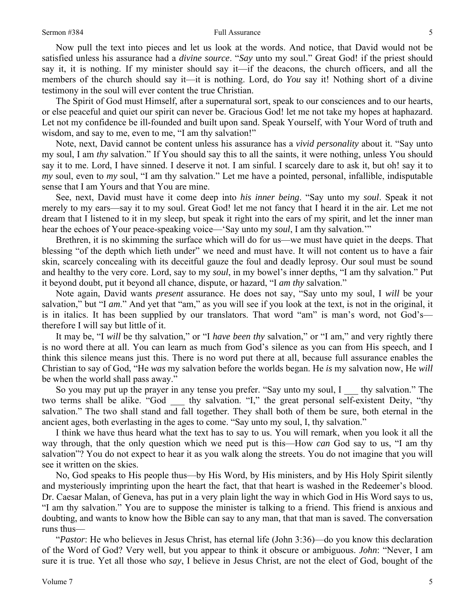#### Sermon #384 Full Assurance

Now pull the text into pieces and let us look at the words. And notice, that David would not be satisfied unless his assurance had a *divine source*. "*Say* unto my soul." Great God! if the priest should say it, it is nothing. If my minister should say it—if the deacons, the church officers, and all the members of the church should say it—it is nothing. Lord, do *You* say it! Nothing short of a divine testimony in the soul will ever content the true Christian.

The Spirit of God must Himself, after a supernatural sort, speak to our consciences and to our hearts, or else peaceful and quiet our spirit can never be. Gracious God! let me not take my hopes at haphazard. Let not my confidence be ill-founded and built upon sand. Speak Yourself, with Your Word of truth and wisdom, and say to me, even to me, "I am thy salvation!"

Note, next, David cannot be content unless his assurance has a *vivid personality* about it. "Say unto my soul, I am *thy* salvation." If You should say this to all the saints, it were nothing, unless You should say it to me. Lord, I have sinned. I deserve it not. I am sinful. I scarcely dare to ask it, but oh! say it to *my* soul, even to *my* soul, "I am thy salvation." Let me have a pointed, personal, infallible, indisputable sense that I am Yours and that You are mine.

See, next, David must have it come deep into *his inner being*. "Say unto my *soul*. Speak it not merely to my ears—say it to my soul. Great God! let me not fancy that I heard it in the air. Let me not dream that I listened to it in my sleep, but speak it right into the ears of my spirit, and let the inner man hear the echoes of Your peace-speaking voice—'Say unto my *soul*, I am thy salvation.'"

Brethren, it is no skimming the surface which will do for us—we must have quiet in the deeps. That blessing "of the depth which lieth under" we need and must have. It will not content us to have a fair skin, scarcely concealing with its deceitful gauze the foul and deadly leprosy. Our soul must be sound and healthy to the very core. Lord, say to my *soul*, in my bowel's inner depths, "I am thy salvation." Put it beyond doubt, put it beyond all chance, dispute, or hazard, "I *am thy s*alvation."

Note again, David wants *present* assurance. He does not say, "Say unto my soul, I *will* be your salvation," but "I *am*." And yet that "am," as you will see if you look at the text, is not in the original, it is in italics. It has been supplied by our translators. That word "am" is man's word, not God's therefore I will say but little of it.

It may be, "I *will* be thy salvation," or "I *have been thy* salvation," or "I am," and very rightly there is no word there at all. You can learn as much from God's silence as you can from His speech, and I think this silence means just this. There is no word put there at all, because full assurance enables the Christian to say of God, "He *was* my salvation before the worlds began. He *is* my salvation now, He *will*  be when the world shall pass away."

So you may put up the prayer in any tense you prefer. "Say unto my soul, I all thy salvation." The two terms shall be alike. "God thy salvation. "I," the great personal self-existent Deity, "thy salvation." The two shall stand and fall together. They shall both of them be sure, both eternal in the ancient ages, both everlasting in the ages to come. "Say unto my soul, I, thy salvation."

I think we have thus heard what the text has to say to us. You will remark, when you look it all the way through, that the only question which we need put is this—How *can* God say to us, "I am thy salvation"? You do not expect to hear it as you walk along the streets. You do not imagine that you will see it written on the skies.

No, God speaks to His people thus—by His Word, by His ministers, and by His Holy Spirit silently and mysteriously imprinting upon the heart the fact, that that heart is washed in the Redeemer's blood. Dr. Caesar Malan, of Geneva, has put in a very plain light the way in which God in His Word says to us, "I am thy salvation." You are to suppose the minister is talking to a friend. This friend is anxious and doubting, and wants to know how the Bible can say to any man, that that man is saved. The conversation runs thus—

"*Pastor*: He who believes in Jesus Christ, has eternal life (John 3:36)—do you know this declaration of the Word of God? Very well, but you appear to think it obscure or ambiguous. *John*: "Never, I am sure it is true. Yet all those who *say*, I believe in Jesus Christ, are not the elect of God, bought of the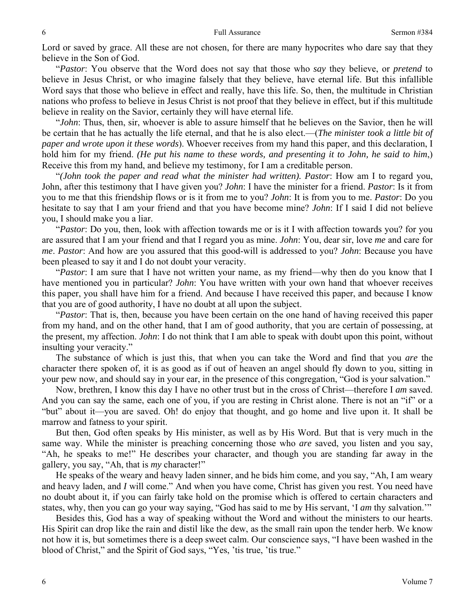Lord or saved by grace. All these are not chosen, for there are many hypocrites who dare say that they believe in the Son of God.

"*Pastor*: You observe that the Word does not say that those who *say* they believe, or *pretend* to believe in Jesus Christ, or who imagine falsely that they believe, have eternal life. But this infallible Word says that those who believe in effect and really, have this life. So, then, the multitude in Christian nations who profess to believe in Jesus Christ is not proof that they believe in effect, but if this multitude believe in reality on the Savior, certainly they will have eternal life.

"*John*: Thus, then, sir, whoever is able to assure himself that he believes on the Savior, then he will be certain that he has actually the life eternal, and that he is also elect.—(*The minister took a little bit of paper and wrote upon it these words*). Whoever receives from my hand this paper, and this declaration, I hold him for my friend. *(He put his name to these words, and presenting it to John, he said to him*,) Receive this from my hand, and believe my testimony, for I am a creditable person.

"*(John took the paper and read what the minister had written). Pastor*: How am I to regard you, John, after this testimony that I have given you? *John*: I have the minister for a friend. *Pastor*: Is it from you to me that this friendship flows or is it from me to you? *John*: It is from you to me. *Pastor*: Do you hesitate to say that I am your friend and that you have become mine? *John*: If I said I did not believe you, I should make you a liar.

"*Pastor*: Do you, then, look with affection towards me or is it I with affection towards you? for you are assured that I am your friend and that I regard you as mine. *John*: You, dear sir, love *me* and care for *me*. *Pastor*: And how are you assured that this good-will is addressed to you? *John*: Because you have been pleased to say it and I do not doubt your veracity.

"*Pastor*: I am sure that I have not written your name, as my friend—why then do you know that I have mentioned you in particular? *John*: You have written with your own hand that whoever receives this paper, you shall have him for a friend. And because I have received this paper, and because I know that you are of good authority, I have no doubt at all upon the subject.

"*Pastor*: That is, then, because you have been certain on the one hand of having received this paper from my hand, and on the other hand, that I am of good authority, that you are certain of possessing, at the present, my affection. *John*: I do not think that I am able to speak with doubt upon this point, without insulting your veracity."

The substance of which is just this, that when you can take the Word and find that you *are* the character there spoken of, it is as good as if out of heaven an angel should fly down to you, sitting in your pew now, and should say in your ear, in the presence of this congregation, "God is your salvation."

Now, brethren, I know this day I have no other trust but in the cross of Christ—therefore I *am* saved. And you can say the same, each one of you, if you are resting in Christ alone. There is not an "if" or a "but" about it—you are saved. Oh! do enjoy that thought, and go home and live upon it. It shall be marrow and fatness to your spirit.

But then, God often speaks by His minister, as well as by His Word. But that is very much in the same way. While the minister is preaching concerning those who *are* saved, you listen and you say, "Ah, he speaks to me!" He describes your character, and though you are standing far away in the gallery, you say, "Ah, that is *my* character!"

He speaks of the weary and heavy laden sinner, and he bids him come, and you say, "Ah, I am weary and heavy laden, and *I* will come." And when you have come, Christ has given you rest. You need have no doubt about it, if you can fairly take hold on the promise which is offered to certain characters and states, why, then you can go your way saying, "God has said to me by His servant, 'I *am* thy *s*alvation.'"

Besides this, God has a way of speaking without the Word and without the ministers to our hearts. His Spirit can drop like the rain and distil like the dew, as the small rain upon the tender herb. We know not how it is, but sometimes there is a deep sweet calm. Our conscience says, "I have been washed in the blood of Christ," and the Spirit of God says, "Yes, 'tis true, 'tis true."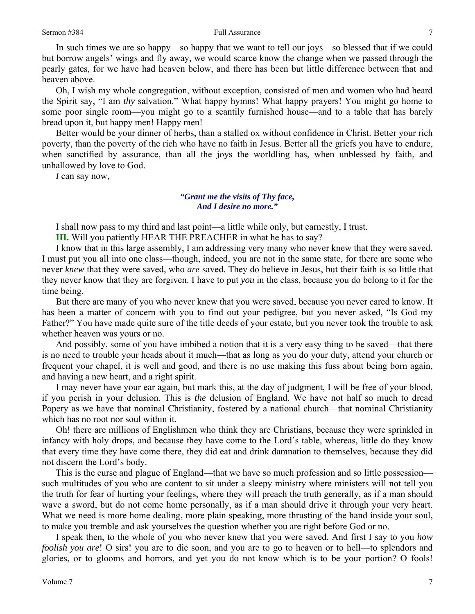In such times we are so happy—so happy that we want to tell our joys—so blessed that if we could but borrow angels' wings and fly away, we would scarce know the change when we passed through the pearly gates, for we have had heaven below, and there has been but little difference between that and heaven above.

Oh, I wish my whole congregation, without exception, consisted of men and women who had heard the Spirit say, "I am *thy* salvation." What happy hymns! What happy prayers! You might go home to some poor single room—you might go to a scantily furnished house—and to a table that has barely bread upon it, but happy men! Happy men!

Better would be your dinner of herbs, than a stalled ox without confidence in Christ. Better your rich poverty, than the poverty of the rich who have no faith in Jesus. Better all the griefs you have to endure, when sanctified by assurance, than all the joys the worldling has, when unblessed by faith, and unhallowed by love to God.

*I* can say now,

## *"Grant me the visits of Thy face, And I desire no more."*

I shall now pass to my third and last point—a little while only, but earnestly, I trust.

**III.** Will you patiently HEAR THE PREACHER in what he has to say?

I know that in this large assembly, I am addressing very many who never knew that they were saved. I must put you all into one class—though, indeed, you are not in the same state, for there are some who never *knew* that they were saved, who *are* saved. They do believe in Jesus, but their faith is so little that they never know that they are forgiven. I have to put *you* in the class, because you do belong to it for the time being.

But there are many of you who never knew that you were saved, because you never cared to know. It has been a matter of concern with you to find out your pedigree, but you never asked, "Is God my Father?" You have made quite sure of the title deeds of your estate, but you never took the trouble to ask whether heaven was yours or no.

And possibly, some of you have imbibed a notion that it is a very easy thing to be saved—that there is no need to trouble your heads about it much—that as long as you do your duty, attend your church or frequent your chapel, it is well and good, and there is no use making this fuss about being born again, and having a new heart, and a right spirit.

I may never have your ear again, but mark this, at the day of judgment, I will be free of your blood, if you perish in your delusion. This is *the* delusion of England. We have not half so much to dread Popery as we have that nominal Christianity, fostered by a national church—that nominal Christianity which has no root nor soul within it.

Oh! there are millions of Englishmen who think they are Christians, because they were sprinkled in infancy with holy drops, and because they have come to the Lord's table, whereas, little do they know that every time they have come there, they did eat and drink damnation to themselves, because they did not discern the Lord's body.

This is the curse and plague of England—that we have so much profession and so little possession such multitudes of you who are content to sit under a sleepy ministry where ministers will not tell you the truth for fear of hurting your feelings, where they will preach the truth generally, as if a man should wave a sword, but do not come home personally, as if a man should drive it through your very heart. What we need is more home dealing, more plain speaking, more thrusting of the hand inside your soul, to make you tremble and ask yourselves the question whether you are right before God or no.

I speak then, to the whole of you who never knew that you were saved. And first I say to you *how foolish you are*! O sirs! you are to die soon, and you are to go to heaven or to hell—to splendors and glories, or to glooms and horrors, and yet you do not know which is to be your portion? O fools!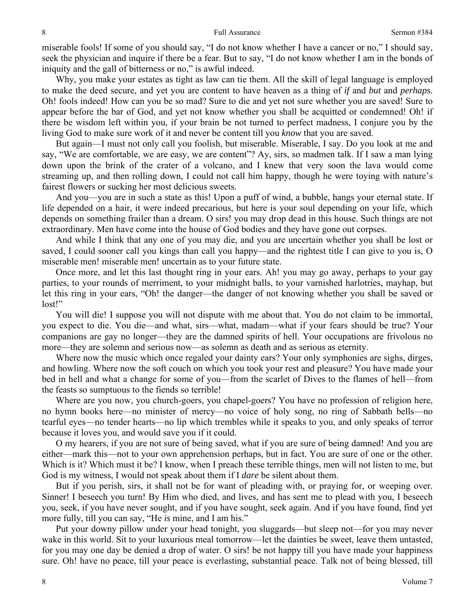miserable fools! If some of you should say, "I do not know whether I have a cancer or no," I should say, seek the physician and inquire if there be a fear. But to say, "I do not know whether I am in the bonds of iniquity and the gall of bitterness or no," is awful indeed.

Why, you make your estates as tight as law can tie them. All the skill of legal language is employed to make the deed secure, and yet you are content to have heaven as a thing of *if* and *but* and *perhaps*. Oh! fools indeed! How can you be so mad? Sure to die and yet not sure whether you are saved! Sure to appear before the bar of God, and yet not know whether you shall be acquitted or condemned! Oh! if there be wisdom left within you, if your brain be not turned to perfect madness, I conjure you by the living God to make sure work of it and never be content till you *know* that you are saved.

But again—I must not only call you foolish, but miserable. Miserable, I say. Do you look at me and say, "We are comfortable, we are easy, we are content"? Ay, sirs, so madmen talk. If I saw a man lying down upon the brink of the crater of a volcano, and I knew that very soon the lava would come streaming up, and then rolling down, I could not call him happy, though he were toying with nature's fairest flowers or sucking her most delicious sweets.

And you—you are in such a state as this! Upon a puff of wind, a bubble, hangs your eternal state. If life depended on a hair, it were indeed precarious, but here is your soul depending on your life, which depends on something frailer than a dream. O sirs! you may drop dead in this house. Such things are not extraordinary. Men have come into the house of God bodies and they have gone out corpses.

And while I think that any one of you may die, and you are uncertain whether you shall be lost or saved, I could sooner call you kings than call you happy—and the rightest title I can give to you is, O miserable men! miserable men! uncertain as to your future state.

Once more, and let this last thought ring in your ears. Ah! you may go away, perhaps to your gay parties, to your rounds of merriment, to your midnight balls, to your varnished harlotries, mayhap, but let this ring in your ears, "Oh! the danger—the danger of not knowing whether you shall be saved or lost!"

You will die! I suppose you will not dispute with me about that. You do not claim to be immortal, you expect to die. You die—and what, sirs—what, madam—what if your fears should be true? Your companions are gay no longer—they are the damned spirits of hell. Your occupations are frivolous no more—they are solemn and serious now—as solemn as death and as serious as eternity.

Where now the music which once regaled your dainty ears? Your only symphonies are sighs, dirges, and howling. Where now the soft couch on which you took your rest and pleasure? You have made your bed in hell and what a change for some of you—from the scarlet of Dives to the flames of hell—from the feasts so sumptuous to the fiends so terrible!

Where are you now, you church-goers, you chapel-goers? You have no profession of religion here, no hymn books here—no minister of mercy—no voice of holy song, no ring of Sabbath bells—no tearful eyes—no tender hearts—no lip which trembles while it speaks to you, and only speaks of terror because it loves you, and would save you if it could.

O my hearers, if you are not sure of being saved, what if you are sure of being damned! And you are either—mark this—not to your own apprehension perhaps, but in fact. You are sure of one or the other. Which is it? Which must it be? I know, when I preach these terrible things, men will not listen to me, but God is my witness, I would not speak about them if I *dare* be silent about them.

But if you perish, sirs, it shall not be for want of pleading with, or praying for, or weeping over. Sinner! I beseech you turn! By Him who died, and lives, and has sent me to plead with you, I beseech you, seek, if you have never sought, and if you have sought, seek again. And if you have found, find yet more fully, till you can say, "He *is* mine, and I am his."

Put your downy pillow under your head tonight, you sluggards—but sleep not—for you may never wake in this world. Sit to your luxurious meal tomorrow—let the dainties be sweet, leave them untasted, for you may one day be denied a drop of water. O sirs! be not happy till you have made your happiness sure. Oh! have no peace, till your peace is everlasting, substantial peace. Talk not of being blessed, till